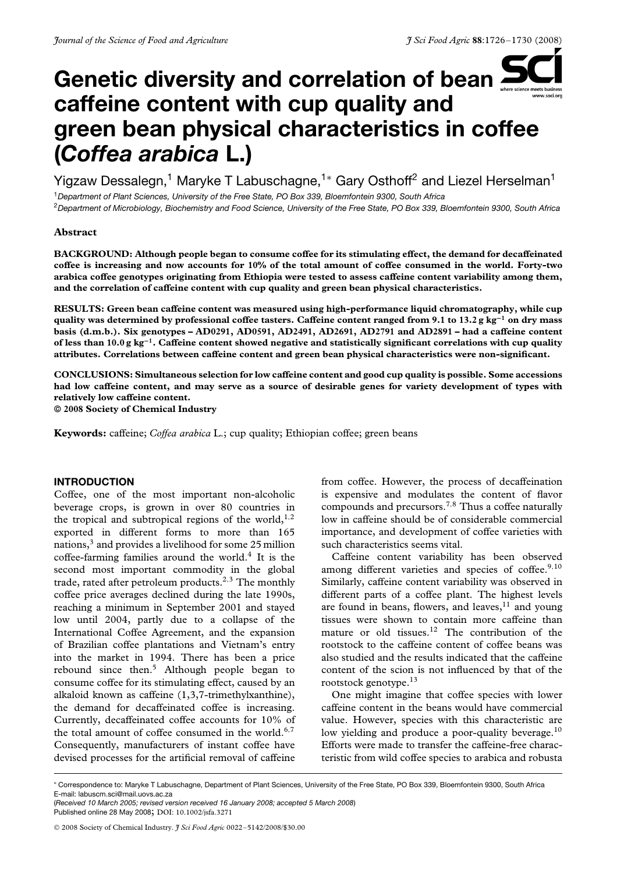# **Genetic diversity and correlation of bean caffeine content with cup quality and green bean physical characteristics in coffee (***Coffea arabica* **L.)**

Yigzaw Dessalegn,<sup>1</sup> Maryke T Labuschagne,<sup>1</sup><sup>∗</sup> Gary Osthoff<sup>2</sup> and Liezel Herselman<sup>1</sup>

<sup>1</sup>*Department of Plant Sciences, University of the Free State, PO Box 339, Bloemfontein 9300, South Africa*

<sup>2</sup>*Department of Microbiology, Biochemistry and Food Science, University of the Free State, PO Box 339, Bloemfontein 9300, South Africa*

# **Abstract**

**BACKGROUND: Although people began to consume coffee for its stimulating effect, the demand for decaffeinated coffee is increasing and now accounts for 10% of the total amount of coffee consumed in the world. Forty-two arabica coffee genotypes originating from Ethiopia were tested to assess caffeine content variability among them, and the correlation of caffeine content with cup quality and green bean physical characteristics.**

**RESULTS: Green bean caffeine content was measured using high-performance liquid chromatography, while cup quality was determined by professional coffee tasters. Caffeine content ranged from 9.1 to 13.2 g kg−<sup>1</sup> on dry mass basis (d.m.b.). Six genotypes – AD0291, AD0591, AD2491, AD2691, AD2791 and AD2891 – had a caffeine content of less than 10.0 g kg−1. Caffeine content showed negative and statistically significant correlations with cup quality attributes. Correlations between caffeine content and green bean physical characteristics were non-significant.**

**CONCLUSIONS: Simultaneous selection for low caffeine content and good cup quality is possible. Some accessions had low caffeine content, and may serve as a source of desirable genes for variety development of types with relatively low caffeine content.**

**2008 Society of Chemical Industry**

**Keywords:** caffeine; *Coffea arabica* L.; cup quality; Ethiopian coffee; green beans

# **INTRODUCTION**

Coffee, one of the most important non-alcoholic beverage crops, is grown in over 80 countries in the tropical and subtropical regions of the world, $1,2$ exported in different forms to more than 165 nations,<sup>3</sup> and provides a livelihood for some 25 million coffee-farming families around the world.<sup>4</sup> It is the second most important commodity in the global trade, rated after petroleum products.2*,*<sup>3</sup> The monthly coffee price averages declined during the late 1990s, reaching a minimum in September 2001 and stayed low until 2004, partly due to a collapse of the International Coffee Agreement, and the expansion of Brazilian coffee plantations and Vietnam's entry into the market in 1994. There has been a price rebound since then.<sup>5</sup> Although people began to consume coffee for its stimulating effect, caused by an alkaloid known as caffeine (1,3,7-trimethylxanthine), the demand for decaffeinated coffee is increasing. Currently, decaffeinated coffee accounts for 10% of the total amount of coffee consumed in the world.<sup>6,7</sup> Consequently, manufacturers of instant coffee have devised processes for the artificial removal of caffeine from coffee. However, the process of decaffeination is expensive and modulates the content of flavor compounds and precursors.7*,*<sup>8</sup> Thus a coffee naturally low in caffeine should be of considerable commercial importance, and development of coffee varieties with such characteristics seems vital.

Caffeine content variability has been observed among different varieties and species of coffee.<sup>9,10</sup> Similarly, caffeine content variability was observed in different parts of a coffee plant. The highest levels are found in beans, flowers, and leaves, $11$  and young tissues were shown to contain more caffeine than mature or old tissues.<sup>12</sup> The contribution of the rootstock to the caffeine content of coffee beans was also studied and the results indicated that the caffeine content of the scion is not influenced by that of the rootstock genotype.13

One might imagine that coffee species with lower caffeine content in the beans would have commercial value. However, species with this characteristic are low yielding and produce a poor-quality beverage.<sup>10</sup> Efforts were made to transfer the caffeine-free characteristic from wild coffee species to arabica and robusta

<sup>∗</sup> Correspondence to: Maryke T Labuschagne, Department of Plant Sciences, University of the Free State, PO Box 339, Bloemfontein 9300, South Africa E-mail: labuscm.sci@mail.uovs.ac.za

<sup>(</sup>*Received 10 March 2005; revised version received 16 January 2008; accepted 5 March 2008*) Published online 28 May 2008; DOI: 10.1002/jsfa.3271

2008 Society of Chemical Industry. *J Sci Food Agric* 0022–5142/2008/\$30.00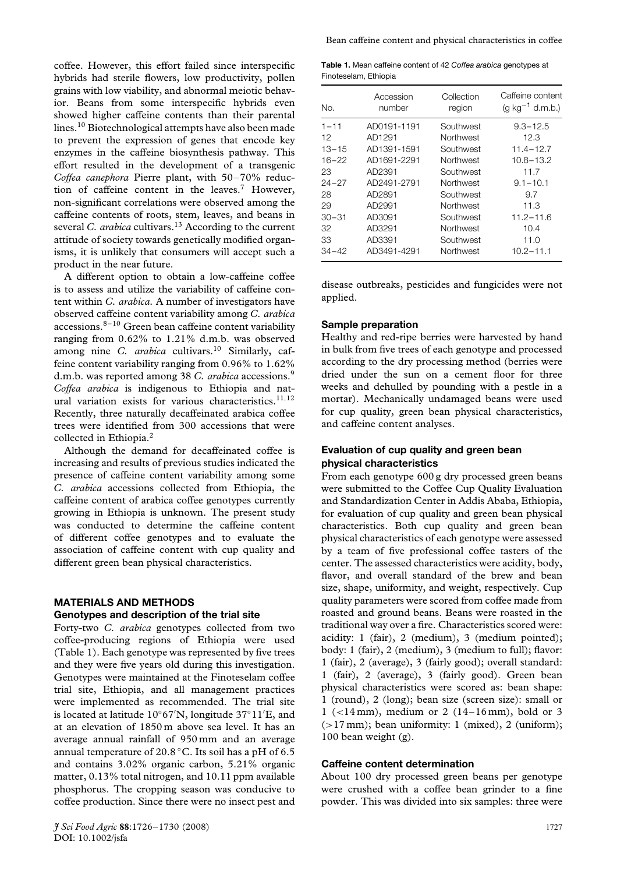coffee. However, this effort failed since interspecific hybrids had sterile flowers, low productivity, pollen grains with low viability, and abnormal meiotic behavior. Beans from some interspecific hybrids even showed higher caffeine contents than their parental lines.10 Biotechnological attempts have also been made to prevent the expression of genes that encode key enzymes in the caffeine biosynthesis pathway. This effort resulted in the development of a transgenic *Coffea canephora* Pierre plant, with 50–70% reduction of caffeine content in the leaves.7 However, non-significant correlations were observed among the caffeine contents of roots, stem, leaves, and beans in several *C. arabica* cultivars.<sup>13</sup> According to the current attitude of society towards genetically modified organisms, it is unlikely that consumers will accept such a product in the near future.

A different option to obtain a low-caffeine coffee is to assess and utilize the variability of caffeine content within *C. arabica.* A number of investigators have observed caffeine content variability among *C. arabica*  $accessions.<sup>8-10</sup>$  Green bean caffeine content variability ranging from 0.62% to 1.21% d.m.b. was observed among nine *C. arabica* cultivars.<sup>10</sup> Similarly, caffeine content variability ranging from 0.96% to 1.62% d.m.b. was reported among 38 *C. arabica* accessions.9 *Coffea arabica* is indigenous to Ethiopia and natural variation exists for various characteristics.11*,*<sup>12</sup> Recently, three naturally decaffeinated arabica coffee trees were identified from 300 accessions that were collected in Ethiopia.<sup>2</sup>

Although the demand for decaffeinated coffee is increasing and results of previous studies indicated the presence of caffeine content variability among some *C. arabica* accessions collected from Ethiopia, the caffeine content of arabica coffee genotypes currently growing in Ethiopia is unknown. The present study was conducted to determine the caffeine content of different coffee genotypes and to evaluate the association of caffeine content with cup quality and different green bean physical characteristics.

# **MATERIALS AND METHODS**

**Genotypes and description of the trial site**

Forty-two *C. arabica* genotypes collected from two coffee-producing regions of Ethiopia were used (Table 1). Each genotype was represented by five trees and they were five years old during this investigation. Genotypes were maintained at the Finoteselam coffee trial site, Ethiopia, and all management practices were implemented as recommended. The trial site is located at latitude 10◦67 N, longitude 37◦11 E, and at an elevation of 1850 m above sea level. It has an average annual rainfall of 950 mm and an average annual temperature of 20.8 °C. Its soil has a pH of 6.5 and contains 3.02% organic carbon, 5.21% organic matter, 0.13% total nitrogen, and 10.11 ppm available phosphorus. The cropping season was conducive to coffee production. Since there were no insect pest and

**Table 1.** Mean caffeine content of 42 *Coffea arabica* genotypes at Finoteselam, Ethiopia

| No.       | Accession   | Collection       | Caffeine content                     |  |  |
|-----------|-------------|------------------|--------------------------------------|--|--|
|           | number      | region           | $(g \text{ kg}^{-1} \text{ d.m.b.})$ |  |  |
| $1 - 11$  | AD0191-1191 | Southwest        | $9.3 - 12.5$                         |  |  |
| 12        | AD1291      | Northwest        | 12.3                                 |  |  |
| $13 - 15$ | AD1391-1591 | Southwest        | $11.4 - 12.7$                        |  |  |
| $16 - 22$ | AD1691-2291 | <b>Northwest</b> | $10.8 - 13.2$                        |  |  |
| 23        | AD2391      | Southwest        | 11.7                                 |  |  |
| $24 - 27$ | AD2491-2791 | <b>Northwest</b> | $9.1 - 10.1$                         |  |  |
| 28        | AD2891      | Southwest        | 9.7                                  |  |  |
| 29        | AD2991      | Northwest        | 11.3                                 |  |  |
| $30 - 31$ | AD3091      | Southwest        | 11.2-11.6                            |  |  |
| 32        | AD3291      | Northwest        | 10.4                                 |  |  |
| 33        | AD3391      | Southwest        | 11. $\Omega$                         |  |  |
| 34–42     | AD3491-4291 | Northwest        | 10.2-11.1                            |  |  |

disease outbreaks, pesticides and fungicides were not applied.

#### **Sample preparation**

Healthy and red-ripe berries were harvested by hand in bulk from five trees of each genotype and processed according to the dry processing method (berries were dried under the sun on a cement floor for three weeks and dehulled by pounding with a pestle in a mortar). Mechanically undamaged beans were used for cup quality, green bean physical characteristics, and caffeine content analyses.

## **Evaluation of cup quality and green bean physical characteristics**

From each genotype 600 g dry processed green beans were submitted to the Coffee Cup Quality Evaluation and Standardization Center in Addis Ababa, Ethiopia, for evaluation of cup quality and green bean physical characteristics. Both cup quality and green bean physical characteristics of each genotype were assessed by a team of five professional coffee tasters of the center. The assessed characteristics were acidity, body, flavor, and overall standard of the brew and bean size, shape, uniformity, and weight, respectively. Cup quality parameters were scored from coffee made from roasted and ground beans. Beans were roasted in the traditional way over a fire. Characteristics scored were: acidity: 1 (fair), 2 (medium), 3 (medium pointed); body: 1 (fair), 2 (medium), 3 (medium to full); flavor: 1 (fair), 2 (average), 3 (fairly good); overall standard: 1 (fair), 2 (average), 3 (fairly good). Green bean physical characteristics were scored as: bean shape: 1 (round), 2 (long); bean size (screen size): small or 1 (*<*14 mm), medium or 2 (14–16 mm), bold or 3 (*>*17 mm); bean uniformity: 1 (mixed), 2 (uniform); 100 bean weight (g).

#### **Caffeine content determination**

About 100 dry processed green beans per genotype were crushed with a coffee bean grinder to a fine powder. This was divided into six samples: three were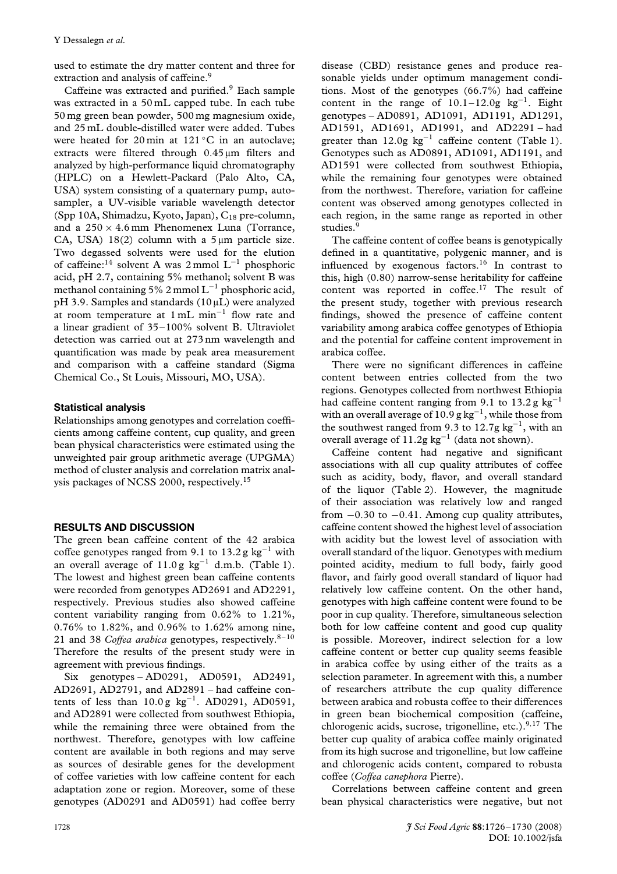used to estimate the dry matter content and three for extraction and analysis of caffeine.<sup>9</sup>

Caffeine was extracted and purified.<sup>9</sup> Each sample was extracted in a 50 mL capped tube. In each tube 50 mg green bean powder, 500 mg magnesium oxide, and 25 mL double-distilled water were added. Tubes were heated for 20 min at 121 °C in an autoclave; extracts were filtered through 0*.*45 µm filters and analyzed by high-performance liquid chromatography (HPLC) on a Hewlett-Packard (Palo Alto, CA, USA) system consisting of a quaternary pump, autosampler, a UV-visible variable wavelength detector (Spp 10A, Shimadzu, Kyoto, Japan), C18 pre-column, and a  $250 \times 4.6$  mm Phenomenex Luna (Torrance, CA, USA)  $18(2)$  column with a  $5 \mu m$  particle size. Two degassed solvents were used for the elution of caffeine:14 solvent A was 2 mmol L−<sup>1</sup> phosphoric acid, pH 2.7, containing 5% methanol; solvent B was methanol containing 5% 2 mmol  $L^{-1}$  phosphoric acid, pH 3.9. Samples and standards (10 µL) were analyzed at room temperature at 1 mL min−<sup>1</sup> flow rate and a linear gradient of 35–100% solvent B. Ultraviolet detection was carried out at 273 nm wavelength and quantification was made by peak area measurement and comparison with a caffeine standard (Sigma Chemical Co., St Louis, Missouri, MO, USA).

# **Statistical analysis**

Relationships among genotypes and correlation coefficients among caffeine content, cup quality, and green bean physical characteristics were estimated using the unweighted pair group arithmetic average (UPGMA) method of cluster analysis and correlation matrix analysis packages of NCSS 2000, respectively.<sup>15</sup>

# **RESULTS AND DISCUSSION**

The green bean caffeine content of the 42 arabica coffee genotypes ranged from 9.1 to 13.2 g kg<sup>-1</sup> with an overall average of  $11.0 g kg^{-1}$  d.m.b. (Table 1). The lowest and highest green bean caffeine contents were recorded from genotypes AD2691 and AD2291, respectively. Previous studies also showed caffeine content variability ranging from 0.62% to 1.21%, 0.76% to 1.82%, and 0.96% to 1.62% among nine, 21 and 38 *Coffea arabica* genotypes, respectively.8–10 Therefore the results of the present study were in agreement with previous findings.

Six genotypes – AD0291, AD0591, AD2491, AD2691, AD2791, and AD2891 – had caffeine contents of less than  $10.0 g kg^{-1}$ . AD0291, AD0591, and AD2891 were collected from southwest Ethiopia, while the remaining three were obtained from the northwest. Therefore, genotypes with low caffeine content are available in both regions and may serve as sources of desirable genes for the development of coffee varieties with low caffeine content for each adaptation zone or region. Moreover, some of these genotypes (AD0291 and AD0591) had coffee berry disease (CBD) resistance genes and produce reasonable yields under optimum management conditions. Most of the genotypes (66.7%) had caffeine content in the range of  $10.1-12.0g \text{ kg}^{-1}$ . Eight genotypes – AD0891, AD1091, AD1191, AD1291, AD1591, AD1691, AD1991, and AD2291 – had greater than  $12.0g \text{ kg}^{-1}$  caffeine content (Table 1). Genotypes such as AD0891, AD1091, AD1191, and AD1591 were collected from southwest Ethiopia, while the remaining four genotypes were obtained from the northwest. Therefore, variation for caffeine content was observed among genotypes collected in each region, in the same range as reported in other studies.<sup>9</sup>

The caffeine content of coffee beans is genotypically defined in a quantitative, polygenic manner, and is influenced by exogenous factors.<sup>16</sup> In contrast to this, high (0.80) narrow-sense heritability for caffeine content was reported in coffee.<sup>17</sup> The result of the present study, together with previous research findings, showed the presence of caffeine content variability among arabica coffee genotypes of Ethiopia and the potential for caffeine content improvement in arabica coffee.

There were no significant differences in caffeine content between entries collected from the two regions. Genotypes collected from northwest Ethiopia had caffeine content ranging from 9.1 to 13.2 g kg<sup>-1</sup> with an overall average of 10.9 g kg<sup>-1</sup>, while those from the southwest ranged from 9.3 to 12.7g kg<sup>-1</sup>, with an overall average of 11.2g kg<sup>-1</sup> (data not shown).

Caffeine content had negative and significant associations with all cup quality attributes of coffee such as acidity, body, flavor, and overall standard of the liquor (Table 2). However, the magnitude of their association was relatively low and ranged from −0*.*30 to −0*.*41. Among cup quality attributes, caffeine content showed the highest level of association with acidity but the lowest level of association with overall standard of the liquor. Genotypes with medium pointed acidity, medium to full body, fairly good flavor, and fairly good overall standard of liquor had relatively low caffeine content. On the other hand, genotypes with high caffeine content were found to be poor in cup quality. Therefore, simultaneous selection both for low caffeine content and good cup quality is possible. Moreover, indirect selection for a low caffeine content or better cup quality seems feasible in arabica coffee by using either of the traits as a selection parameter. In agreement with this, a number of researchers attribute the cup quality difference between arabica and robusta coffee to their differences in green bean biochemical composition (caffeine, chlorogenic acids, sucrose, trigonelline, etc.).9*,*<sup>17</sup> The better cup quality of arabica coffee mainly originated from its high sucrose and trigonelline, but low caffeine and chlorogenic acids content, compared to robusta coffee (*Coffea canephora* Pierre).

Correlations between caffeine content and green bean physical characteristics were negative, but not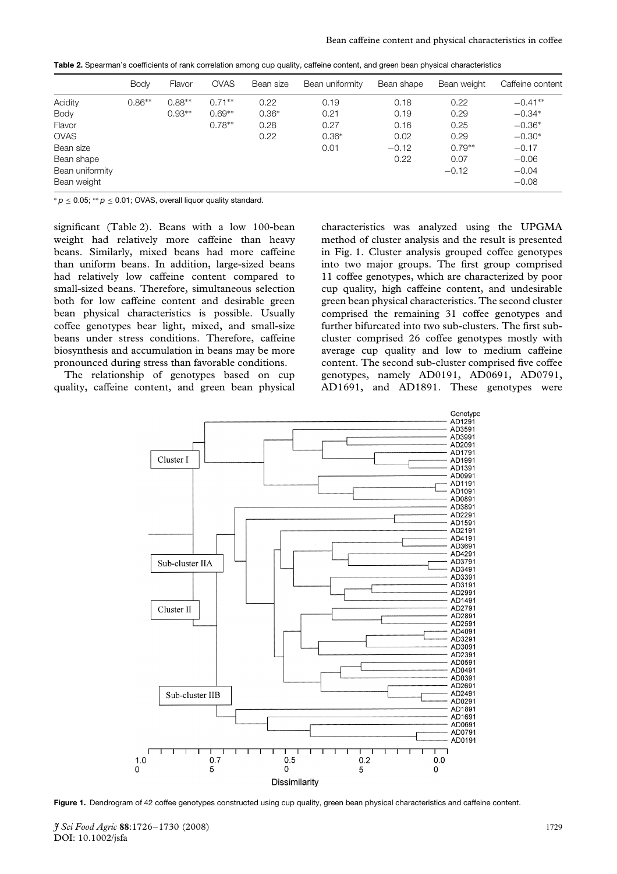**Table 2.** Spearman's coefficients of rank correlation among cup quality, caffeine content, and green bean physical characteristics

|                 | <b>Body</b> | Flavor   | <b>OVAS</b> | Bean size | Bean uniformity | Bean shape | Bean weight | Caffeine content |
|-----------------|-------------|----------|-------------|-----------|-----------------|------------|-------------|------------------|
| Acidity         | $0.86**$    | $0.88**$ | $0.71**$    | 0.22      | 0.19            | 0.18       | 0.22        | $-0.41**$        |
| Body            |             | $0.93**$ | $0.69**$    | $0.36*$   | 0.21            | 0.19       | 0.29        | $-0.34*$         |
| Flavor          |             |          | $0.78**$    | 0.28      | 0.27            | 0.16       | 0.25        | $-0.36*$         |
| <b>OVAS</b>     |             |          |             | 0.22      | $0.36*$         | 0.02       | 0.29        | $-0.30*$         |
| Bean size       |             |          |             |           | 0.01            | $-0.12$    | $0.79**$    | $-0.17$          |
| Bean shape      |             |          |             |           |                 | 0.22       | 0.07        | $-0.06$          |
| Bean uniformity |             |          |             |           |                 |            | $-0.12$     | $-0.04$          |
| Bean weight     |             |          |             |           |                 |            |             | $-0.08$          |

<sup>∗</sup> *p* ≤ 0*.*05; ∗∗ *p* ≤ 0*.*01; OVAS, overall liquor quality standard.

significant (Table 2). Beans with a low 100-bean weight had relatively more caffeine than heavy beans. Similarly, mixed beans had more caffeine than uniform beans. In addition, large-sized beans had relatively low caffeine content compared to small-sized beans. Therefore, simultaneous selection both for low caffeine content and desirable green bean physical characteristics is possible. Usually coffee genotypes bear light, mixed, and small-size beans under stress conditions. Therefore, caffeine biosynthesis and accumulation in beans may be more pronounced during stress than favorable conditions.

The relationship of genotypes based on cup quality, caffeine content, and green bean physical characteristics was analyzed using the UPGMA method of cluster analysis and the result is presented in Fig. 1. Cluster analysis grouped coffee genotypes into two major groups. The first group comprised 11 coffee genotypes, which are characterized by poor cup quality, high caffeine content, and undesirable green bean physical characteristics. The second cluster comprised the remaining 31 coffee genotypes and further bifurcated into two sub-clusters. The first subcluster comprised 26 coffee genotypes mostly with average cup quality and low to medium caffeine content. The second sub-cluster comprised five coffee genotypes, namely AD0191, AD0691, AD0791, AD1691, and AD1891. These genotypes were



**Figure 1.** Dendrogram of 42 coffee genotypes constructed using cup quality, green bean physical characteristics and caffeine content.

*J Sci Food Agric* **88**:1726–1730 (2008) 1729 DOI: 10.1002/jsfa